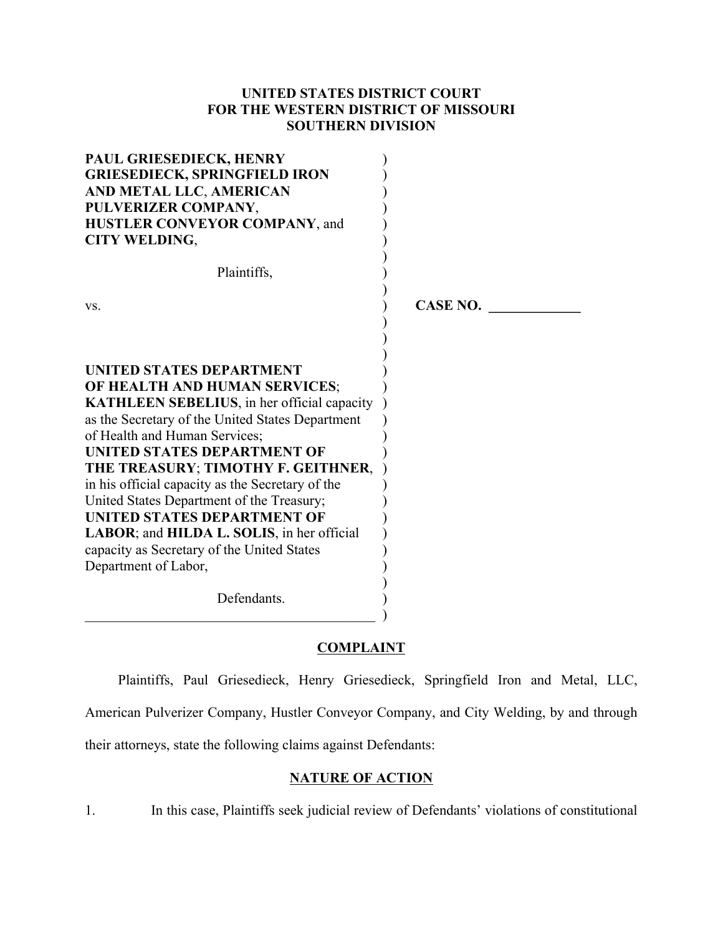# **UNITED STATES DISTRICT COURT FOR THE WESTERN DISTRICT OF MISSOURI SOUTHERN DIVISION**

| PAUL GRIESEDIECK, HENRY<br><b>GRIESEDIECK, SPRINGFIELD IRON</b><br>AND METAL LLC, AMERICAN<br>PULVERIZER COMPANY,<br>HUSTLER CONVEYOR COMPANY, and<br><b>CITY WELDING,</b> |                 |
|----------------------------------------------------------------------------------------------------------------------------------------------------------------------------|-----------------|
| Plaintiffs,                                                                                                                                                                |                 |
| VS.                                                                                                                                                                        | <b>CASE NO.</b> |
| <b>UNITED STATES DEPARTMENT</b><br>OF HEALTH AND HUMAN SERVICES;                                                                                                           |                 |
| <b>KATHLEEN SEBELIUS</b> , in her official capacity<br>as the Secretary of the United States Department<br>of Health and Human Services;                                   |                 |
| <b>UNITED STATES DEPARTMENT OF</b><br>THE TREASURY; TIMOTHY F. GEITHNER,                                                                                                   |                 |
| in his official capacity as the Secretary of the<br>United States Department of the Treasury;                                                                              |                 |
| <b>UNITED STATES DEPARTMENT OF</b><br>LABOR; and HILDA L. SOLIS, in her official                                                                                           |                 |
| capacity as Secretary of the United States<br>Department of Labor,                                                                                                         |                 |
| Defendants.                                                                                                                                                                |                 |

# **COMPLAINT**

 $\qquad \qquad$ 

Plaintiffs, Paul Griesedieck, Henry Griesedieck, Springfield Iron and Metal, LLC, American Pulverizer Company, Hustler Conveyor Company, and City Welding, by and through

their attorneys, state the following claims against Defendants:

# **NATURE OF ACTION**

1. In this case, Plaintiffs seek judicial review of Defendants' violations of constitutional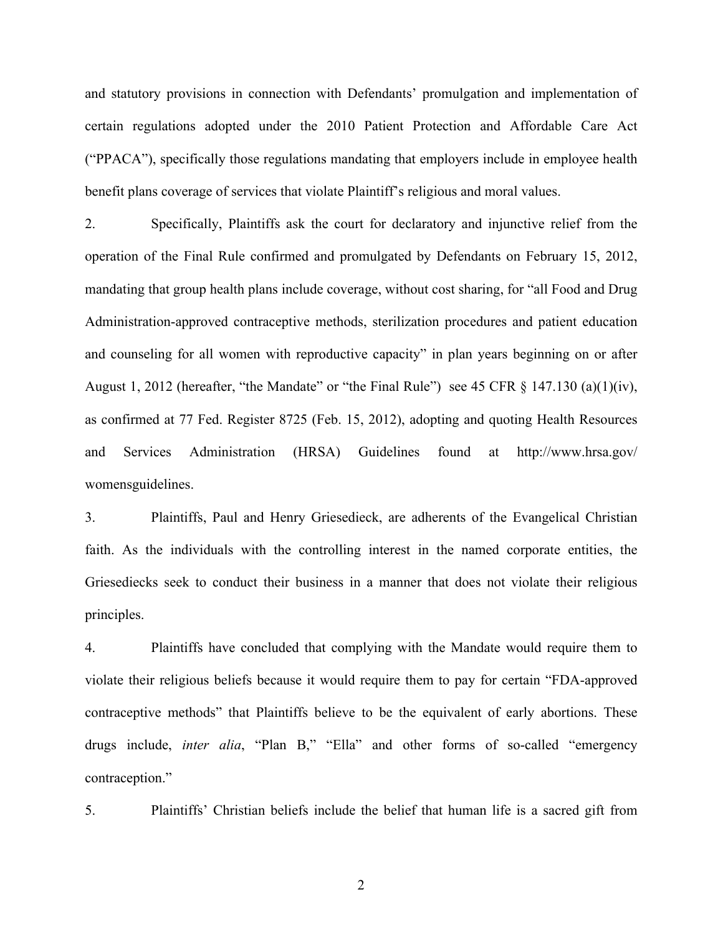and statutory provisions in connection with Defendants' promulgation and implementation of certain regulations adopted under the 2010 Patient Protection and Affordable Care Act ("PPACA"), specifically those regulations mandating that employers include in employee health benefit plans coverage of services that violate Plaintiff's religious and moral values.

2. Specifically, Plaintiffs ask the court for declaratory and injunctive relief from the operation of the Final Rule confirmed and promulgated by Defendants on February 15, 2012, mandating that group health plans include coverage, without cost sharing, for "all Food and Drug Administration-approved contraceptive methods, sterilization procedures and patient education and counseling for all women with reproductive capacity" in plan years beginning on or after August 1, 2012 (hereafter, "the Mandate" or "the Final Rule") see 45 CFR § 147.130 (a)(1)(iv), as confirmed at 77 Fed. Register 8725 (Feb. 15, 2012), adopting and quoting Health Resources and Services Administration (HRSA) Guidelines found at http://www.hrsa.gov/ womensguidelines.

3. Plaintiffs, Paul and Henry Griesedieck, are adherents of the Evangelical Christian faith. As the individuals with the controlling interest in the named corporate entities, the Griesediecks seek to conduct their business in a manner that does not violate their religious principles.

4. Plaintiffs have concluded that complying with the Mandate would require them to violate their religious beliefs because it would require them to pay for certain "FDA-approved contraceptive methods" that Plaintiffs believe to be the equivalent of early abortions. These drugs include, *inter alia*, "Plan B," "Ella" and other forms of so-called "emergency contraception."

5. Plaintiffs' Christian beliefs include the belief that human life is a sacred gift from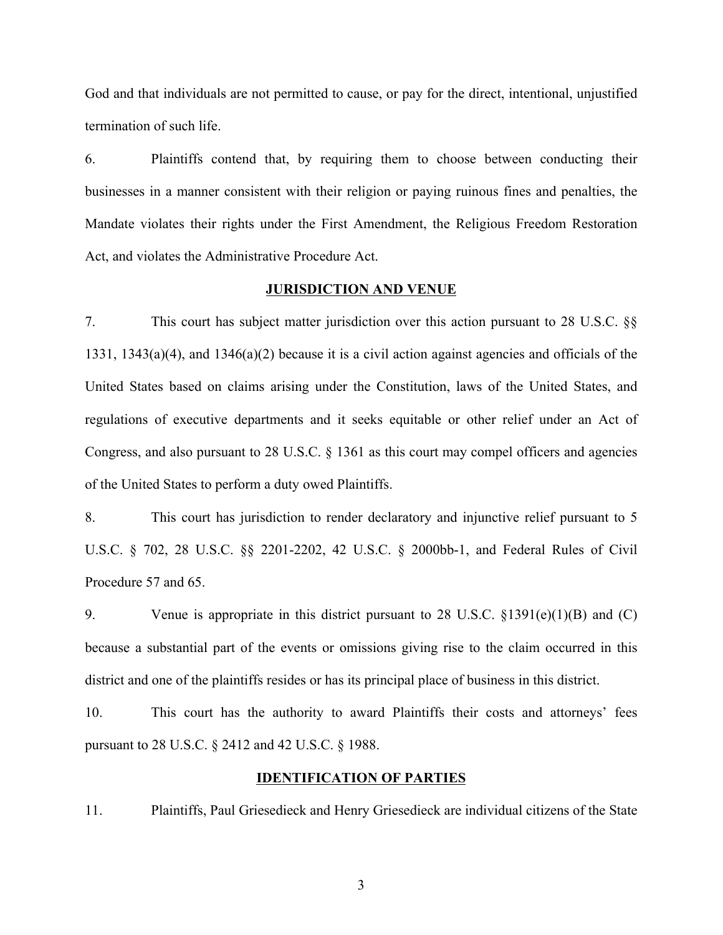God and that individuals are not permitted to cause, or pay for the direct, intentional, unjustified termination of such life.

6. Plaintiffs contend that, by requiring them to choose between conducting their businesses in a manner consistent with their religion or paying ruinous fines and penalties, the Mandate violates their rights under the First Amendment, the Religious Freedom Restoration Act, and violates the Administrative Procedure Act.

### **JURISDICTION AND VENUE**

7. This court has subject matter jurisdiction over this action pursuant to 28 U.S.C. §§ 1331, 1343(a)(4), and 1346(a)(2) because it is a civil action against agencies and officials of the United States based on claims arising under the Constitution, laws of the United States, and regulations of executive departments and it seeks equitable or other relief under an Act of Congress, and also pursuant to 28 U.S.C. § 1361 as this court may compel officers and agencies of the United States to perform a duty owed Plaintiffs.

8. This court has jurisdiction to render declaratory and injunctive relief pursuant to 5 U.S.C. § 702, 28 U.S.C. §§ 2201-2202, 42 U.S.C. § 2000bb-1, and Federal Rules of Civil Procedure 57 and 65.

9. Venue is appropriate in this district pursuant to 28 U.S.C. §1391(e)(1)(B) and (C) because a substantial part of the events or omissions giving rise to the claim occurred in this district and one of the plaintiffs resides or has its principal place of business in this district.

10. This court has the authority to award Plaintiffs their costs and attorneys' fees pursuant to 28 U.S.C. § 2412 and 42 U.S.C. § 1988.

### **IDENTIFICATION OF PARTIES**

11. Plaintiffs, Paul Griesedieck and Henry Griesedieck are individual citizens of the State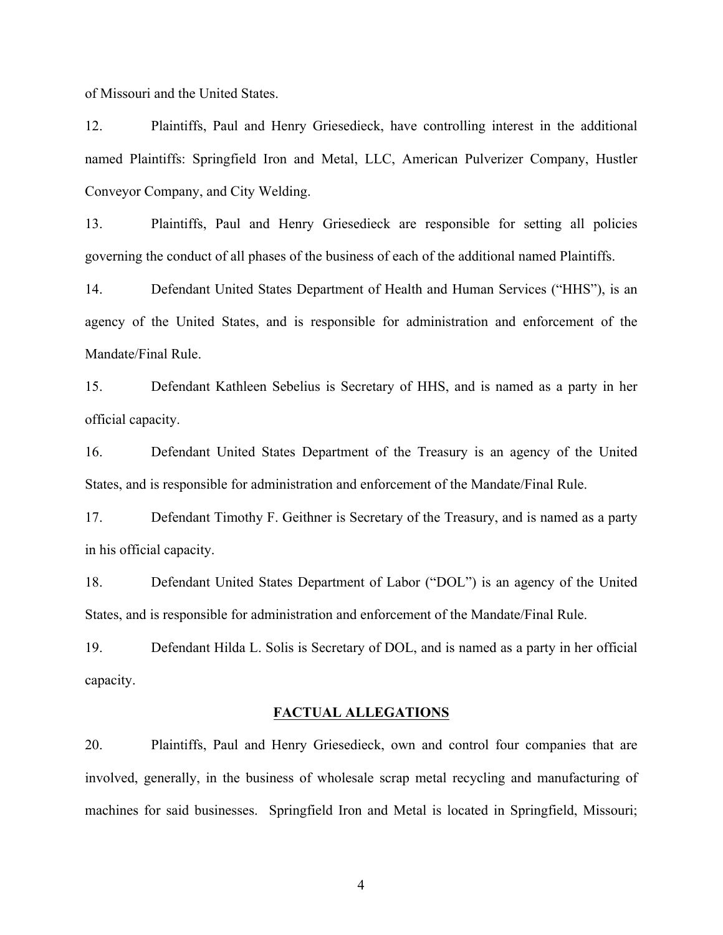of Missouri and the United States.

12. Plaintiffs, Paul and Henry Griesedieck, have controlling interest in the additional named Plaintiffs: Springfield Iron and Metal, LLC, American Pulverizer Company, Hustler Conveyor Company, and City Welding.

13. Plaintiffs, Paul and Henry Griesedieck are responsible for setting all policies governing the conduct of all phases of the business of each of the additional named Plaintiffs.

14. Defendant United States Department of Health and Human Services ("HHS"), is an agency of the United States, and is responsible for administration and enforcement of the Mandate/Final Rule.

15. Defendant Kathleen Sebelius is Secretary of HHS, and is named as a party in her official capacity.

16. Defendant United States Department of the Treasury is an agency of the United States, and is responsible for administration and enforcement of the Mandate/Final Rule.

17. Defendant Timothy F. Geithner is Secretary of the Treasury, and is named as a party in his official capacity.

18. Defendant United States Department of Labor ("DOL") is an agency of the United States, and is responsible for administration and enforcement of the Mandate/Final Rule.

19. Defendant Hilda L. Solis is Secretary of DOL, and is named as a party in her official capacity.

#### **FACTUAL ALLEGATIONS**

20. Plaintiffs, Paul and Henry Griesedieck, own and control four companies that are involved, generally, in the business of wholesale scrap metal recycling and manufacturing of machines for said businesses. Springfield Iron and Metal is located in Springfield, Missouri;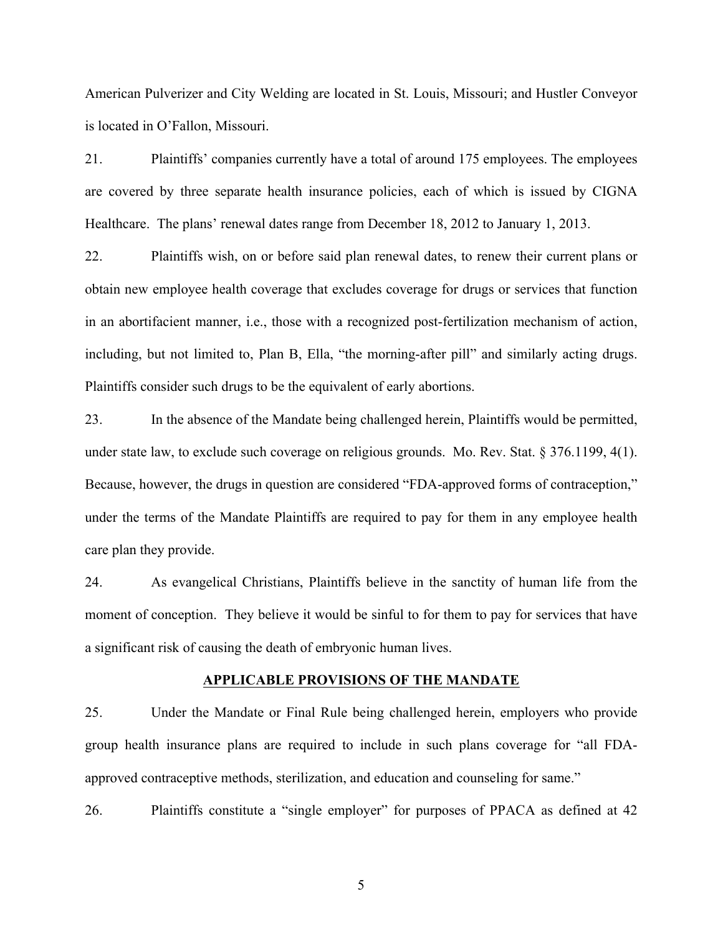American Pulverizer and City Welding are located in St. Louis, Missouri; and Hustler Conveyor is located in O'Fallon, Missouri.

21. Plaintiffs' companies currently have a total of around 175 employees. The employees are covered by three separate health insurance policies, each of which is issued by CIGNA Healthcare. The plans' renewal dates range from December 18, 2012 to January 1, 2013.

22. Plaintiffs wish, on or before said plan renewal dates, to renew their current plans or obtain new employee health coverage that excludes coverage for drugs or services that function in an abortifacient manner, i.e., those with a recognized post-fertilization mechanism of action, including, but not limited to, Plan B, Ella, "the morning-after pill" and similarly acting drugs. Plaintiffs consider such drugs to be the equivalent of early abortions.

23. In the absence of the Mandate being challenged herein, Plaintiffs would be permitted, under state law, to exclude such coverage on religious grounds. Mo. Rev. Stat. § 376.1199, 4(1). Because, however, the drugs in question are considered "FDA-approved forms of contraception," under the terms of the Mandate Plaintiffs are required to pay for them in any employee health care plan they provide.

24. As evangelical Christians, Plaintiffs believe in the sanctity of human life from the moment of conception. They believe it would be sinful to for them to pay for services that have a significant risk of causing the death of embryonic human lives.

#### **APPLICABLE PROVISIONS OF THE MANDATE**

25. Under the Mandate or Final Rule being challenged herein, employers who provide group health insurance plans are required to include in such plans coverage for "all FDAapproved contraceptive methods, sterilization, and education and counseling for same."

26. Plaintiffs constitute a "single employer" for purposes of PPACA as defined at 42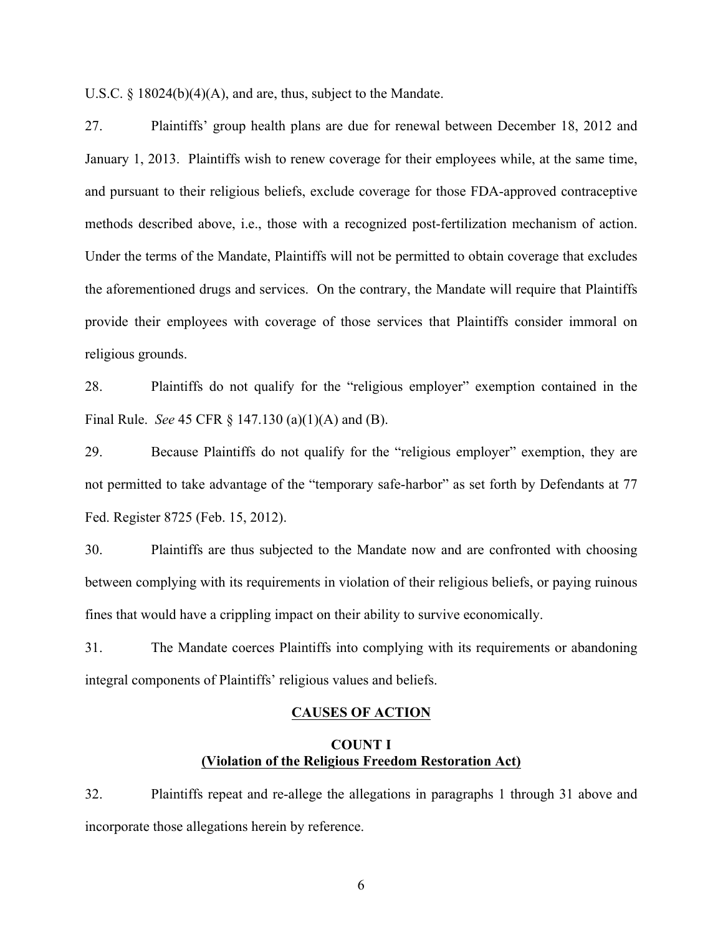U.S.C. § 18024(b)(4)(A), and are, thus, subject to the Mandate.

27. Plaintiffs' group health plans are due for renewal between December 18, 2012 and January 1, 2013. Plaintiffs wish to renew coverage for their employees while, at the same time, and pursuant to their religious beliefs, exclude coverage for those FDA-approved contraceptive methods described above, i.e., those with a recognized post-fertilization mechanism of action. Under the terms of the Mandate, Plaintiffs will not be permitted to obtain coverage that excludes the aforementioned drugs and services. On the contrary, the Mandate will require that Plaintiffs provide their employees with coverage of those services that Plaintiffs consider immoral on religious grounds.

28. Plaintiffs do not qualify for the "religious employer" exemption contained in the Final Rule. *See* 45 CFR § 147.130 (a)(1)(A) and (B).

29. Because Plaintiffs do not qualify for the "religious employer" exemption, they are not permitted to take advantage of the "temporary safe-harbor" as set forth by Defendants at 77 Fed. Register 8725 (Feb. 15, 2012).

30. Plaintiffs are thus subjected to the Mandate now and are confronted with choosing between complying with its requirements in violation of their religious beliefs, or paying ruinous fines that would have a crippling impact on their ability to survive economically.

31. The Mandate coerces Plaintiffs into complying with its requirements or abandoning integral components of Plaintiffs' religious values and beliefs.

### **CAUSES OF ACTION**

## **COUNT I (Violation of the Religious Freedom Restoration Act)**

32. Plaintiffs repeat and re-allege the allegations in paragraphs 1 through 31 above and incorporate those allegations herein by reference.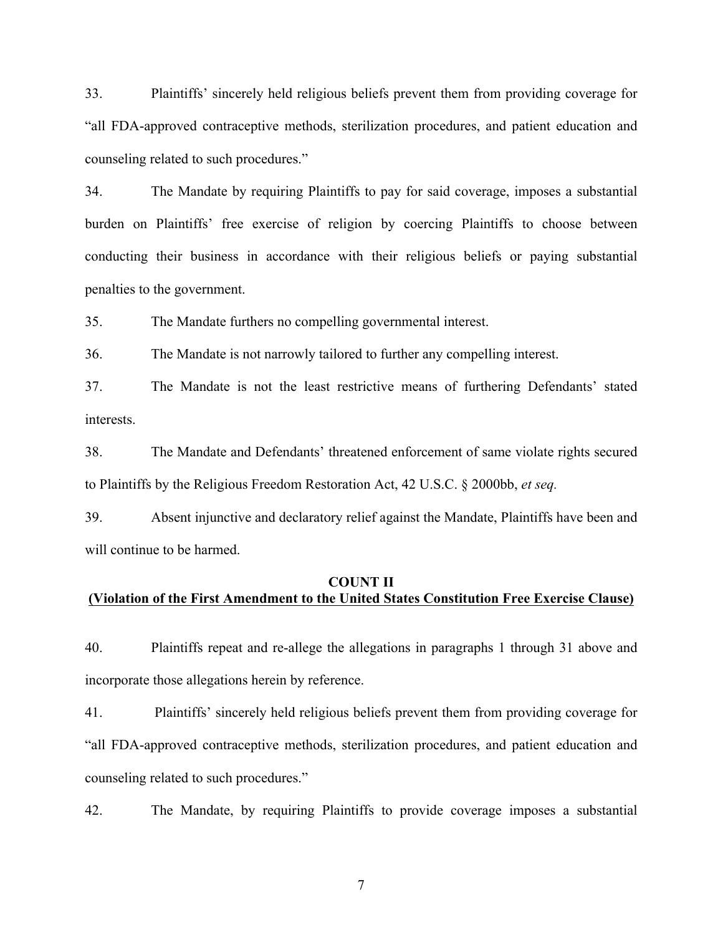33. Plaintiffs' sincerely held religious beliefs prevent them from providing coverage for "all FDA-approved contraceptive methods, sterilization procedures, and patient education and counseling related to such procedures."

34. The Mandate by requiring Plaintiffs to pay for said coverage, imposes a substantial burden on Plaintiffs' free exercise of religion by coercing Plaintiffs to choose between conducting their business in accordance with their religious beliefs or paying substantial penalties to the government.

35. The Mandate furthers no compelling governmental interest.

36. The Mandate is not narrowly tailored to further any compelling interest.

37. The Mandate is not the least restrictive means of furthering Defendants' stated interests.

38. The Mandate and Defendants' threatened enforcement of same violate rights secured to Plaintiffs by the Religious Freedom Restoration Act, 42 U.S.C. § 2000bb, *et seq.*

39. Absent injunctive and declaratory relief against the Mandate, Plaintiffs have been and will continue to be harmed.

## **COUNT II (Violation of the First Amendment to the United States Constitution Free Exercise Clause)**

40. Plaintiffs repeat and re-allege the allegations in paragraphs 1 through 31 above and incorporate those allegations herein by reference.

41. Plaintiffs' sincerely held religious beliefs prevent them from providing coverage for "all FDA-approved contraceptive methods, sterilization procedures, and patient education and counseling related to such procedures."

42. The Mandate, by requiring Plaintiffs to provide coverage imposes a substantial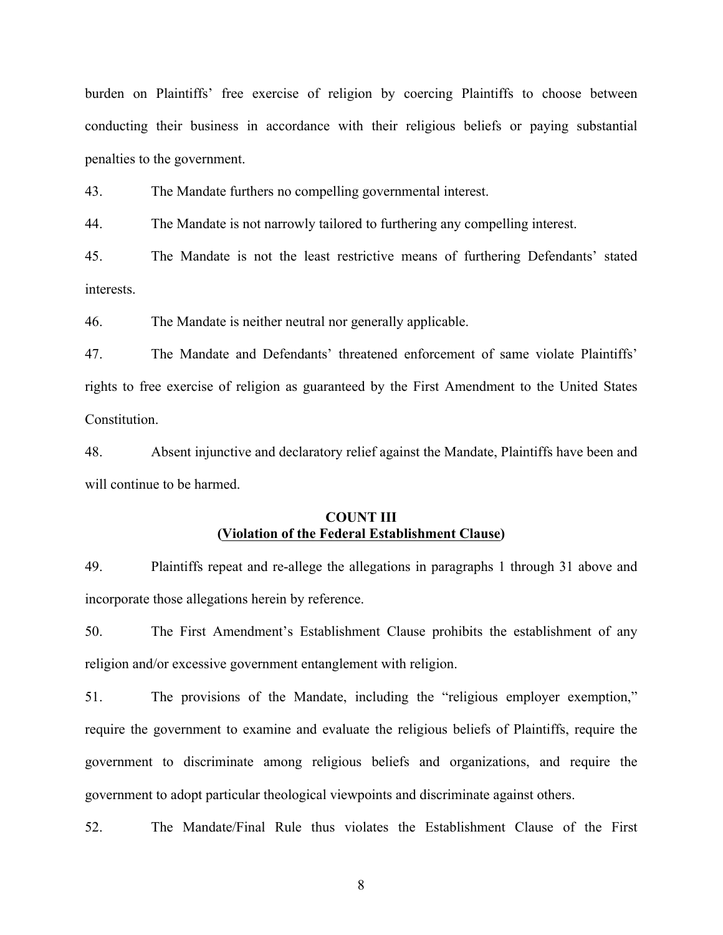burden on Plaintiffs' free exercise of religion by coercing Plaintiffs to choose between conducting their business in accordance with their religious beliefs or paying substantial penalties to the government.

43. The Mandate furthers no compelling governmental interest.

44. The Mandate is not narrowly tailored to furthering any compelling interest.

45. The Mandate is not the least restrictive means of furthering Defendants' stated interests.

46. The Mandate is neither neutral nor generally applicable.

47. The Mandate and Defendants' threatened enforcement of same violate Plaintiffs' rights to free exercise of religion as guaranteed by the First Amendment to the United States Constitution.

48. Absent injunctive and declaratory relief against the Mandate, Plaintiffs have been and will continue to be harmed.

## **COUNT III (Violation of the Federal Establishment Clause)**

49. Plaintiffs repeat and re-allege the allegations in paragraphs 1 through 31 above and incorporate those allegations herein by reference.

50. The First Amendment's Establishment Clause prohibits the establishment of any religion and/or excessive government entanglement with religion.

51. The provisions of the Mandate, including the "religious employer exemption," require the government to examine and evaluate the religious beliefs of Plaintiffs, require the government to discriminate among religious beliefs and organizations, and require the government to adopt particular theological viewpoints and discriminate against others.

52. The Mandate/Final Rule thus violates the Establishment Clause of the First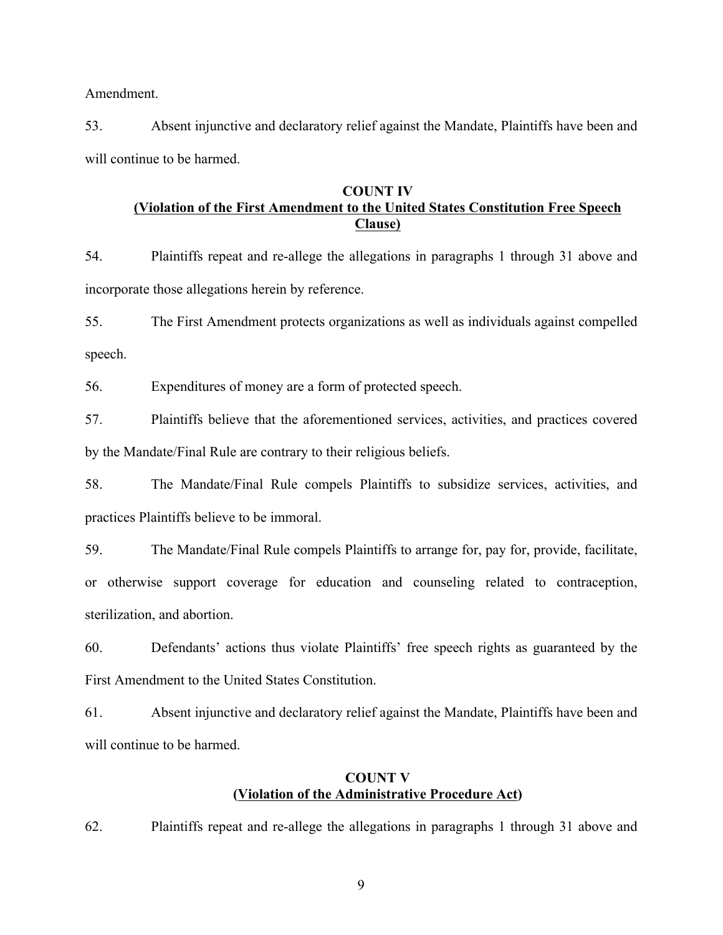Amendment.

53. Absent injunctive and declaratory relief against the Mandate, Plaintiffs have been and will continue to be harmed.

# **COUNT IV (Violation of the First Amendment to the United States Constitution Free Speech Clause)**

54. Plaintiffs repeat and re-allege the allegations in paragraphs 1 through 31 above and incorporate those allegations herein by reference.

55. The First Amendment protects organizations as well as individuals against compelled speech.

56. Expenditures of money are a form of protected speech.

57. Plaintiffs believe that the aforementioned services, activities, and practices covered by the Mandate/Final Rule are contrary to their religious beliefs.

58. The Mandate/Final Rule compels Plaintiffs to subsidize services, activities, and practices Plaintiffs believe to be immoral.

59. The Mandate/Final Rule compels Plaintiffs to arrange for, pay for, provide, facilitate, or otherwise support coverage for education and counseling related to contraception, sterilization, and abortion.

60. Defendants' actions thus violate Plaintiffs' free speech rights as guaranteed by the First Amendment to the United States Constitution.

61. Absent injunctive and declaratory relief against the Mandate, Plaintiffs have been and will continue to be harmed.

## **COUNT V (Violation of the Administrative Procedure Act)**

62. Plaintiffs repeat and re-allege the allegations in paragraphs 1 through 31 above and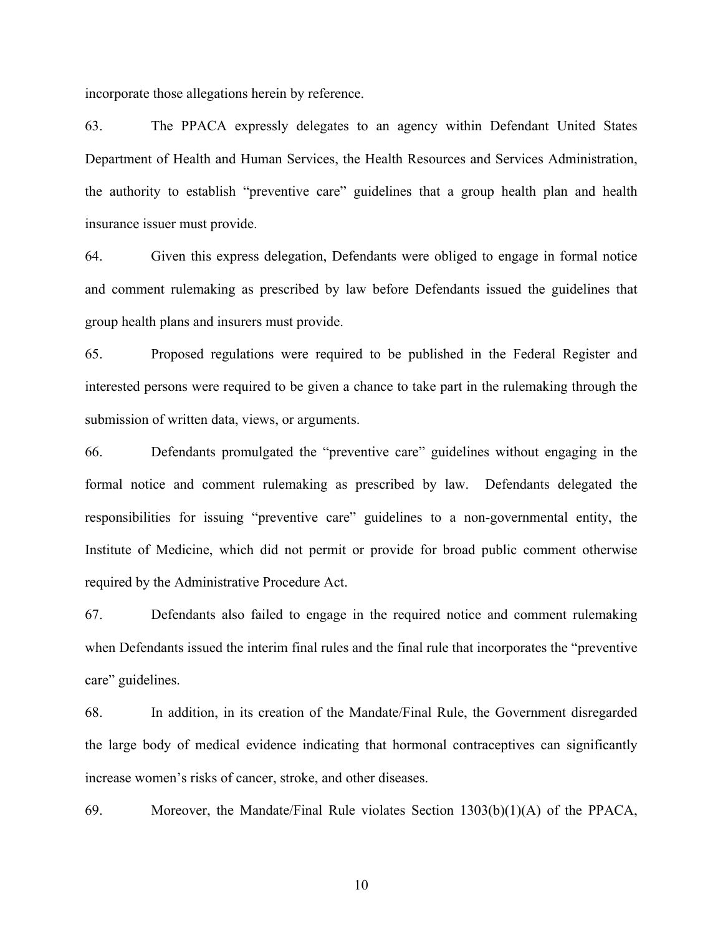incorporate those allegations herein by reference.

63. The PPACA expressly delegates to an agency within Defendant United States Department of Health and Human Services, the Health Resources and Services Administration, the authority to establish "preventive care" guidelines that a group health plan and health insurance issuer must provide.

64. Given this express delegation, Defendants were obliged to engage in formal notice and comment rulemaking as prescribed by law before Defendants issued the guidelines that group health plans and insurers must provide.

65. Proposed regulations were required to be published in the Federal Register and interested persons were required to be given a chance to take part in the rulemaking through the submission of written data, views, or arguments.

66. Defendants promulgated the "preventive care" guidelines without engaging in the formal notice and comment rulemaking as prescribed by law. Defendants delegated the responsibilities for issuing "preventive care" guidelines to a non-governmental entity, the Institute of Medicine, which did not permit or provide for broad public comment otherwise required by the Administrative Procedure Act.

67. Defendants also failed to engage in the required notice and comment rulemaking when Defendants issued the interim final rules and the final rule that incorporates the "preventive care" guidelines.

68. In addition, in its creation of the Mandate/Final Rule, the Government disregarded the large body of medical evidence indicating that hormonal contraceptives can significantly increase women's risks of cancer, stroke, and other diseases.

69. Moreover, the Mandate/Final Rule violates Section 1303(b)(1)(A) of the PPACA,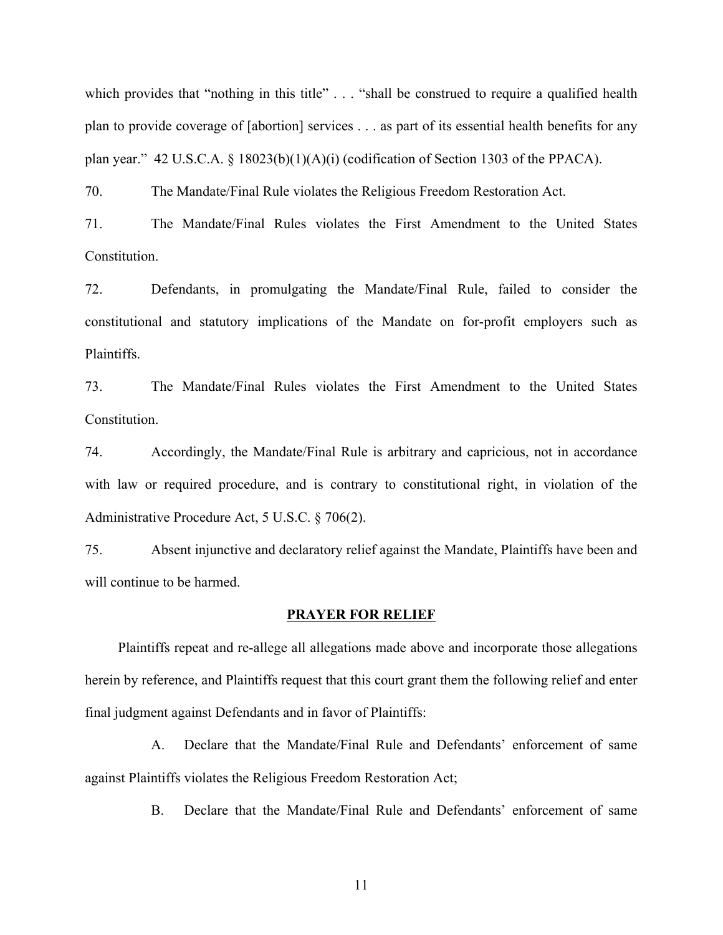which provides that "nothing in this title" . . . "shall be construed to require a qualified health plan to provide coverage of [abortion] services . . . as part of its essential health benefits for any plan year." 42 U.S.C.A.  $\S$  18023(b)(1)(A)(i) (codification of Section 1303 of the PPACA).

70. The Mandate/Final Rule violates the Religious Freedom Restoration Act.

71. The Mandate/Final Rules violates the First Amendment to the United States Constitution.

72. Defendants, in promulgating the Mandate/Final Rule, failed to consider the constitutional and statutory implications of the Mandate on for-profit employers such as **Plaintiffs** 

73. The Mandate/Final Rules violates the First Amendment to the United States Constitution.

74. Accordingly, the Mandate/Final Rule is arbitrary and capricious, not in accordance with law or required procedure, and is contrary to constitutional right, in violation of the Administrative Procedure Act, 5 U.S.C. § 706(2).

75. Absent injunctive and declaratory relief against the Mandate, Plaintiffs have been and will continue to be harmed.

#### **PRAYER FOR RELIEF**

Plaintiffs repeat and re-allege all allegations made above and incorporate those allegations herein by reference, and Plaintiffs request that this court grant them the following relief and enter final judgment against Defendants and in favor of Plaintiffs:

A. Declare that the Mandate/Final Rule and Defendants' enforcement of same against Plaintiffs violates the Religious Freedom Restoration Act;

B. Declare that the Mandate/Final Rule and Defendants' enforcement of same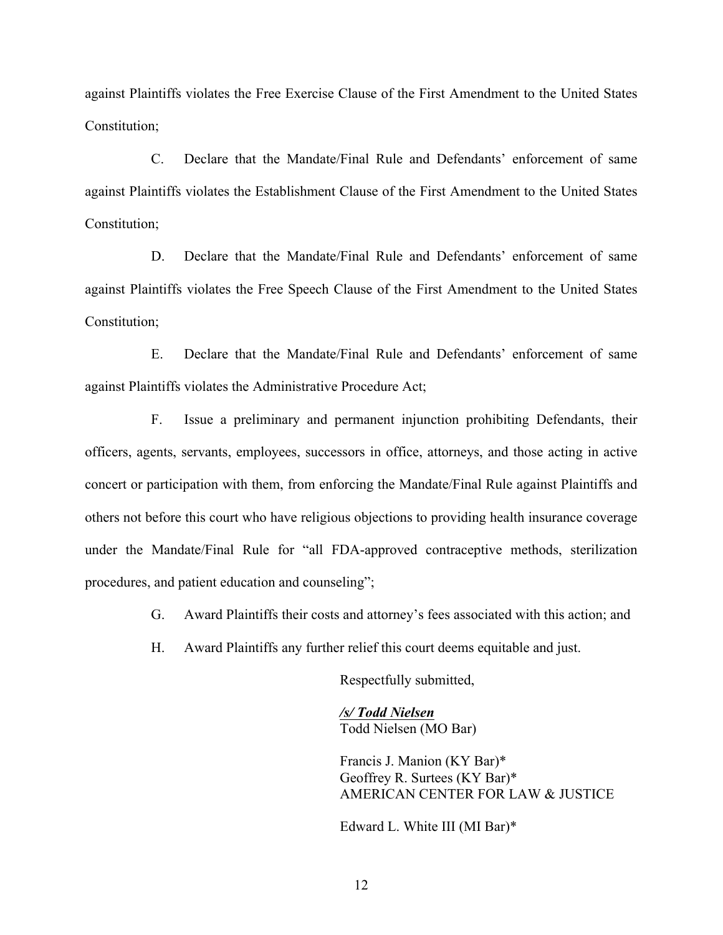against Plaintiffs violates the Free Exercise Clause of the First Amendment to the United States Constitution;

C. Declare that the Mandate/Final Rule and Defendants' enforcement of same against Plaintiffs violates the Establishment Clause of the First Amendment to the United States Constitution;

D. Declare that the Mandate/Final Rule and Defendants' enforcement of same against Plaintiffs violates the Free Speech Clause of the First Amendment to the United States Constitution;

E. Declare that the Mandate/Final Rule and Defendants' enforcement of same against Plaintiffs violates the Administrative Procedure Act;

F. Issue a preliminary and permanent injunction prohibiting Defendants, their officers, agents, servants, employees, successors in office, attorneys, and those acting in active concert or participation with them, from enforcing the Mandate/Final Rule against Plaintiffs and others not before this court who have religious objections to providing health insurance coverage under the Mandate/Final Rule for "all FDA-approved contraceptive methods, sterilization procedures, and patient education and counseling";

G. Award Plaintiffs their costs and attorney's fees associated with this action; and

H. Award Plaintiffs any further relief this court deems equitable and just.

Respectfully submitted,

*/s/ Todd Nielsen* Todd Nielsen (MO Bar)

Francis J. Manion (KY Bar)\* Geoffrey R. Surtees (KY Bar)\* AMERICAN CENTER FOR LAW & JUSTICE

Edward L. White III (MI Bar)\*